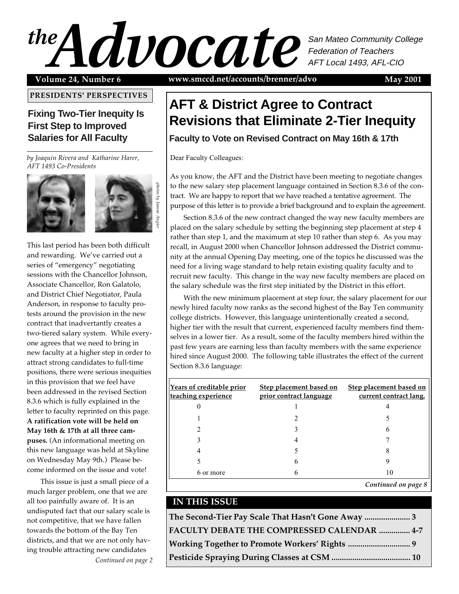# MAY 2001 1 San Mateo Community College Federation of Teachers AFT Local 1493, AFL-CIO

**PRESIDENTS' PERSPECTIVES**

# **Fixing Two-Tier Inequity Is First Step to Improved Salaries for All Faculty**

*by Joaquin Rivera and Katharine Harer, AFT 1493 Co-Presidents*



This last period has been both difficult and rewarding. We've carried out a series of "emergency" negotiating sessions with the Chancellor Johnson, Associate Chancellor, Ron Galatolo, and District Chief Negotiator, Paula Anderson, in response to faculty protests around the provision in the new contract that inadvertantly creates a two-tiered salary system. While everyone agrees that we need to bring in new faculty at a higher step in order to attract strong candidates to full-time positions, there were serious inequities in this provision that we feel have been addressed in the revised Section 8.3.6 which is fully explained in the letter to faculty reprinted on this page. **A ratification vote will be held on May 16th & 17th at all three campuses.** (An informational meeting on this new language was held at Skyline on Wednesday May 9th.) Please become informed on the issue and vote!

This issue is just a small piece of a much larger problem, one that we are all too painfully aware of. It is an undisputed fact that our salary scale is not competitive, that we have fallen towards the bottom of the Bay Ten districts, and that we are not only having trouble attracting new candidates

*Continued on page 2*

**Volume 24, Number 6 May 2001 www.smccd.net/accounts/brenner/advo**

# **AFT & District Agree to Contract Revisions that Eliminate 2-Tier Inequity**

**Faculty to Vote on Revised Contract on May 16th & 17th**

Dear Faculty Colleagues:

*photos by Jeanne Angier*

As you know, the AFT and the District have been meeting to negotiate changes to the new salary step placement language contained in Section 8.3.6 of the contract. We are happy to report that we have reached a tentative agreement. The purpose of this letter is to provide a brief background and to explain the agreement.

Section 8.3.6 of the new contract changed the way new faculty members are placed on the salary schedule by setting the beginning step placement at step 4 rather than step 1, and the maximum at step 10 rather than step 6. As you may recall, in August 2000 when Chancellor Johnson addressed the District community at the annual Opening Day meeting, one of the topics he discussed was the need for a living wage standard to help retain existing quality faculty and to recruit new faculty. This change in the way new faculty members are placed on the salary schedule was the first step initiated by the District in this effort.

With the new minimum placement at step four, the salary placement for our newly hired faculty now ranks as the second highest of the Bay Ten community college districts. However, this language unintentionally created a second, higher tier with the result that current, experienced faculty members find themselves in a lower tier. As a result, some of the faculty members hired within the past few years are earning less than faculty members with the same experience hired since August 2000. The following table illustrates the effect of the current Section 8.3.6 language:

| <b>Years of creditable prior</b><br>teaching experience | <b>Step placement based on</b><br>prior contract language | Step placement based on<br>current contract lang. |
|---------------------------------------------------------|-----------------------------------------------------------|---------------------------------------------------|
|                                                         |                                                           |                                                   |
|                                                         |                                                           |                                                   |
|                                                         |                                                           |                                                   |
|                                                         |                                                           |                                                   |
|                                                         |                                                           |                                                   |
|                                                         | 6                                                         |                                                   |
| 6 or more                                               | 6                                                         | 10                                                |
|                                                         |                                                           | Continued on page 8                               |

### **IN THIS ISSUE**

| The Second-Tier Pay Scale That Hasn't Gone Away  3 |  |
|----------------------------------------------------|--|
| FACULTY DEBATE THE COMPRESSED CALENDAR  4-7        |  |
|                                                    |  |
|                                                    |  |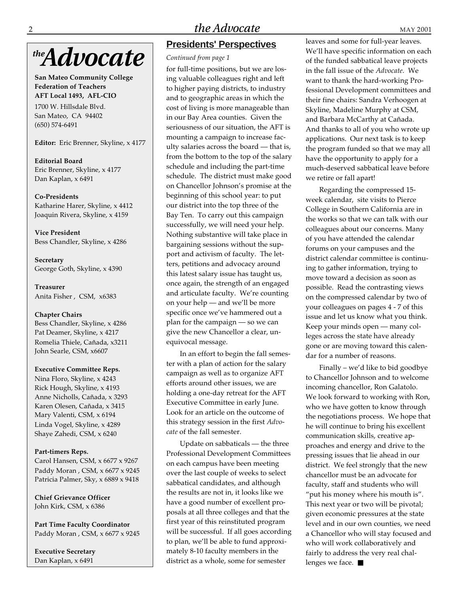# the **Advocate**

**San Mateo Community College Federation of Teachers AFT Local 1493, AFL-CIO**

1700 W. Hillsdale Blvd. San Mateo, CA 94402 (650) 574-6491

**Editor:** Eric Brenner, Skyline, x 4177

**Editorial Board** Eric Brenner, Skyline, x 4177 Dan Kaplan, x 6491

#### **Co-Presidents**

Katharine Harer, Skyline, x 4412 Joaquin Rivera, Skyline, x 4159

**Vice President** Bess Chandler, Skyline, x 4286

**Secretary** George Goth, Skyline, x 4390

**Treasurer** Anita Fisher , CSM, x6383

#### **Chapter Chairs**

Bess Chandler, Skyline, x 4286 Pat Deamer, Skyline, x 4217 Romelia Thiele, Cañada, x3211 John Searle, CSM, x6607

#### **Executive Committee Reps.**

Nina Floro, Skyline, x 4243 Rick Hough, Skyline, x 4193 Anne Nicholls, Cañada, x 3293 Karen Olesen, Cañada, x 3415 Mary Valenti, CSM, x 6194 Linda Vogel, Skyline, x 4289 Shaye Zahedi, CSM, x 6240

#### **Part-timers Reps.**

Carol Hansen, CSM, x 6677 x 9267 Paddy Moran , CSM, x 6677 x 9245 Patricia Palmer, Sky, x 6889 x 9418

#### **Chief Grievance Officer** John Kirk, CSM, x 6386

**Part Time Faculty Coordinator** Paddy Moran , CSM, x 6677 x 9245

**Executive Secretary** Dan Kaplan, x 6491

# **Presidents' Perspectives**

#### *Continued from page 1*

for full-time positions, but we are losing valuable colleagues right and left to higher paying districts, to industry and to geographic areas in which the cost of living is more manageable than in our Bay Area counties. Given the seriousness of our situation, the AFT is mounting a campaign to increase faculty salaries across the board — that is, from the bottom to the top of the salary schedule and including the part-time schedule. The district must make good on Chancellor Johnson's promise at the beginning of this school year: to put our district into the top three of the Bay Ten. To carry out this campaign successfully, we will need your help. Nothing substantive will take place in bargaining sessions without the support and activism of faculty. The letters, petitions and advocacy around this latest salary issue has taught us, once again, the strength of an engaged and articulate faculty. We're counting on your help — and we'll be more specific once we've hammered out a plan for the campaign — so we can give the new Chancellor a clear, unequivocal message.

In an effort to begin the fall semester with a plan of action for the salary campaign as well as to organize AFT efforts around other issues, we are holding a one-day retreat for the AFT Executive Committee in early June. Look for an article on the outcome of this strategy session in the first *Advocate* of the fall semester.

Update on sabbaticals — the three Professional Development Committees on each campus have been meeting over the last couple of weeks to select sabbatical candidates, and although the results are not in, it looks like we have a good number of excellent proposals at all three colleges and that the first year of this reinstituted program will be successful. If all goes according to plan, we'll be able to fund approximately 8-10 faculty members in the district as a whole, some for semester

leaves and some for full-year leaves. We'll have specific information on each of the funded sabbatical leave projects in the fall issue of the *Advocate*. We want to thank the hard-working Professional Development committees and their fine chairs: Sandra Verhoogen at Skyline, Madeline Murphy at CSM, and Barbara McCarthy at Cañada. And thanks to all of you who wrote up applications. Our next task is to keep the program funded so that we may all have the opportunity to apply for a much-deserved sabbatical leave before we retire or fall apart!

Regarding the compressed 15 week calendar, site visits to Pierce College in Southern California are in the works so that we can talk with our colleagues about our concerns. Many of you have attended the calendar forums on your campuses and the district calendar committee is continuing to gather information, trying to move toward a decision as soon as possible. Read the contrasting views on the compressed calendar by two of your colleagues on pages 4 - 7 of this issue and let us know what you think. Keep your minds open — many colleges across the state have already gone or are moving toward this calendar for a number of reasons.

Finally – we'd like to bid goodbye to Chancellor Johnson and to welcome incoming chancellor, Ron Galatolo. We look forward to working with Ron, who we have gotten to know through the negotiations process. We hope that he will continue to bring his excellent communication skills, creative approaches and energy and drive to the pressing issues that lie ahead in our district. We feel strongly that the new chancellor must be an advocate for faculty, staff and students who will "put his money where his mouth is". This next year or two will be pivotal; given economic pressures at the state level and in our own counties, we need a Chancellor who will stay focused and who will work collaboratively and fairly to address the very real challenges we face. ■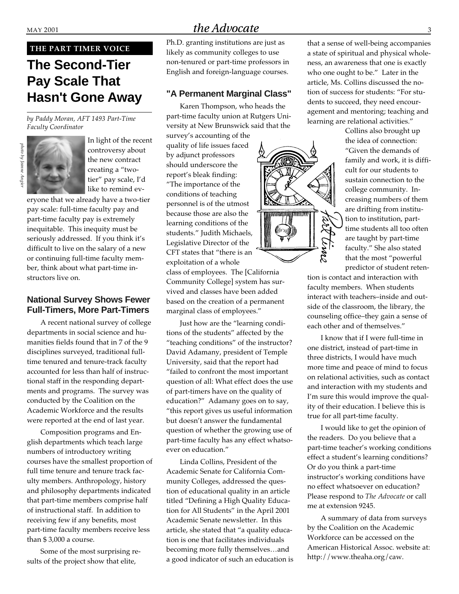#### **THE PART TIMER VOICE**

# **The Second-Tier Pay Scale That Hasn't Gone Away**

*by Paddy Moran, AFT 1493 Part-Time Faculty Coordinator*



In light of the recent controversy about the new contract creating a "twotier" pay scale, I'd like to remind ev-

eryone that we already have a two-tier pay scale: full-time faculty pay and part-time faculty pay is extremely inequitable. This inequity must be seriously addressed. If you think it's difficult to live on the salary of a new or continuing full-time faculty member, think about what part-time instructors live on.

#### **National Survey Shows Fewer Full-Timers, More Part-Timers**

A recent national survey of college departments in social science and humanities fields found that in 7 of the 9 disciplines surveyed, traditional fulltime tenured and tenure-track faculty accounted for less than half of instructional staff in the responding departments and programs. The survey was conducted by the Coalition on the Academic Workforce and the results were reported at the end of last year.

Composition programs and English departments which teach large numbers of introductory writing courses have the smallest proportion of full time tenure and tenure track faculty members. Anthropology, history and philosophy departments indicated that part-time members comprise half of instructional staff. In addition to receiving few if any benefits, most part-time faculty members receive less than \$ 3,000 a course.

Some of the most surprising results of the project show that elite,

# $MAY$  2001  $the Advocate$  3

Ph.D. granting institutions are just as likely as community colleges to use non-tenured or part-time professors in English and foreign-language courses.

#### **"A Permanent Marginal Class"**

Karen Thompson, who heads the part-time faculty union at Rutgers University at New Brunswick said that the

survey's accounting of the quality of life issues faced by adjunct professors should underscore the report's bleak finding: "The importance of the conditions of teaching personnel is of the utmost because those are also the learning conditions of the students." Judith Michaels, Legislative Director of the CFT states that "there is an exploitation of a whole

class of employees. The [California Community College] system has survived and classes have been added based on the creation of a permanent marginal class of employees."

Just how are the "learning conditions of the students" affected by the "teaching conditions" of the instructor? David Adamany, president of Temple University, said that the report had "failed to confront the most important question of all: What effect does the use of part-timers have on the quality of education?" Adamany goes on to say, "this report gives us useful information but doesn't answer the fundamental question of whether the growing use of part-time faculty has any effect whatsoever on education."

Linda Collins, President of the Academic Senate for California Community Colleges, addressed the question of educational quality in an article titled "Defining a High Quality Education for All Students" in the April 2001 Academic Senate newsletter. In this article, she stated that "a quality education is one that facilitates individuals becoming more fully themselves…and a good indicator of such an education is that a sense of well-being accompanies a state of spiritual and physical wholeness, an awareness that one is exactly who one ought to be." Later in the article, Ms. Collins discussed the notion of success for students: "For students to succeed, they need encouragement and mentoring; teaching and learning are relational activities."



Collins also brought up the idea of connection: "Given the demands of family and work, it is difficult for our students to sustain connection to the college community. Increasing numbers of them are drifting from institution to institution, parttime students all too often are taught by part-time faculty." She also stated that the most "powerful predictor of student reten-

tion is contact and interaction with faculty members. When students interact with teachers–inside and outside of the classroom, the library, the counseling office–they gain a sense of each other and of themselves."

I know that if I were full-time in one district, instead of part-time in three districts, I would have much more time and peace of mind to focus on relational activities, such as contact and interaction with my students and I'm sure this would improve the quality of their education. I believe this is true for all part-time faculty.

I would like to get the opinion of the readers. Do you believe that a part-time teacher's working conditions effect a student's learning conditions? Or do you think a part-time instructor's working conditions have no effect whatsoever on education? Please respond to *The Advocate* or call me at extension 9245.

A summary of data from surveys by the Coalition on the Academic Workforce can be accessed on the American Historical Assoc. website at: http://www.theaha.org/caw.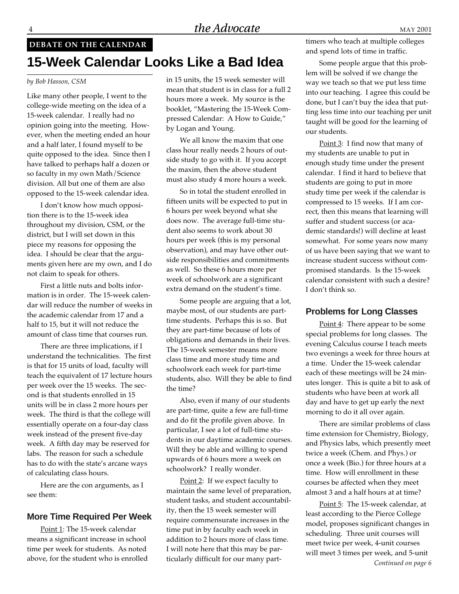# **DEBATE ON THE CALENDAR 15-Week Calendar Looks Like a Bad Idea**

#### *by Bob Hasson, CSM*

Like many other people, I went to the college-wide meeting on the idea of a 15-week calendar. I really had no opinion going into the meeting. However, when the meeting ended an hour and a half later, I found myself to be quite opposed to the idea. Since then I have talked to perhaps half a dozen or so faculty in my own Math/Science division. All but one of them are also opposed to the 15-week calendar idea.

I don't know how much opposition there is to the 15-week idea throughout my division, CSM, or the district, but I will set down in this piece my reasons for opposing the idea. I should be clear that the arguments given here are my own, and I do not claim to speak for others.

First a little nuts and bolts information is in order. The 15-week calendar will reduce the number of weeks in the academic calendar from 17 and a half to 15, but it will not reduce the amount of class time that courses run.

There are three implications, if I understand the technicalities. The first is that for 15 units of load, faculty will teach the equivalent of 17 lecture hours per week over the 15 weeks. The second is that students enrolled in 15 units will be in class 2 more hours per week. The third is that the college will essentially operate on a four-day class week instead of the present five-day week. A fifth day may be reserved for labs. The reason for such a schedule has to do with the state's arcane ways of calculating class hours.

Here are the con arguments, as I see them:

#### **More Time Required Per Week**

Point 1: The 15-week calendar means a significant increase in school time per week for students. As noted above, for the student who is enrolled

in 15 units, the 15 week semester will mean that student is in class for a full 2 hours more a week. My source is the booklet, "Mastering the 15-Week Compressed Calendar: A How to Guide," by Logan and Young.

We all know the maxim that one class hour really needs 2 hours of outside study to go with it. If you accept the maxim, then the above student must also study 4 more hours a week.

So in total the student enrolled in fifteen units will be expected to put in 6 hours per week beyond what she does now. The average full-time student also seems to work about 30 hours per week (this is my personal observation), and may have other outside responsibilities and commitments as well. So these 6 hours more per week of schoolwork are a significant extra demand on the student's time.

Some people are arguing that a lot, maybe most, of our students are parttime students. Perhaps this is so. But they are part-time because of lots of obligations and demands in their lives. The 15-week semester means more class time and more study time and schoolwork each week for part-time students, also. Will they be able to find the time?

Also, even if many of our students are part-time, quite a few are full-time and do fit the profile given above. In particular, I see a lot of full-time students in our daytime academic courses. Will they be able and willing to spend upwards of 6 hours more a week on schoolwork? I really wonder.

Point 2: If we expect faculty to maintain the same level of preparation, student tasks, and student accountability, then the 15 week semester will require commensurate increases in the time put in by faculty each week in addition to 2 hours more of class time. I will note here that this may be particularly difficult for our many parttimers who teach at multiple colleges and spend lots of time in traffic.

Some people argue that this problem will be solved if we change the way we teach so that we put less time into our teaching. I agree this could be done, but I can't buy the idea that putting less time into our teaching per unit taught will be good for the learning of our students.

Point 3: I find now that many of my students are unable to put in enough study time under the present calendar. I find it hard to believe that students are going to put in more study time per week if the calendar is compressed to 15 weeks. If I am correct, then this means that learning will suffer and student success (or academic standards!) will decline at least somewhat. For some years now many of us have been saying that we want to increase student success without compromised standards. Is the 15-week calendar consistent with such a desire? I don't think so.

#### **Problems for Long Classes**

Point 4: There appear to be some special problems for long classes. The evening Calculus course I teach meets two evenings a week for three hours at a time. Under the 15-week calendar each of these meetings will be 24 minutes longer. This is quite a bit to ask of students who have been at work all day and have to get up early the next morning to do it all over again.

There are similar problems of class time extension for Chemistry, Biology, and Physics labs, which presently meet twice a week (Chem. and Phys.) or once a week (Bio.) for three hours at a time. How will enrollment in these courses be affected when they meet almost 3 and a half hours at at time?

Point 5: The 15-week calendar, at least according to the Pierce College model, proposes significant changes in scheduling. Three unit courses will meet twice per week, 4-unit courses will meet 3 times per week, and 5-unit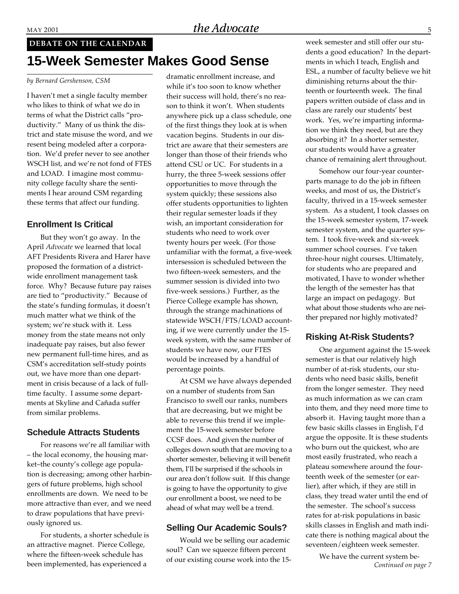# **15-Week Semester Makes Good Sense DEBATE ON THE CALENDAR**

#### *by Bernard Gershenson, CSM*

I haven't met a single faculty member who likes to think of what we do in terms of what the District calls "productivity." Many of us think the district and state misuse the word, and we resent being modeled after a corporation. We'd prefer never to see another WSCH list, and we're not fond of FTES and LOAD. I imagine most community college faculty share the sentiments I hear around CSM regarding these terms that affect our funding.

#### **Enrollment Is Critical**

But they won't go away. In the April *Advocate* we learned that local AFT Presidents Rivera and Harer have proposed the formation of a districtwide enrollment management task force. Why? Because future pay raises are tied to "productivity." Because of the state's funding formulas, it doesn't much matter what we think of the system; we're stuck with it. Less money from the state means not only inadequate pay raises, but also fewer new permanent full-time hires, and as CSM's accreditation self-study points out, we have more than one department in crisis because of a lack of fulltime faculty. I assume some departments at Skyline and Cañada suffer from similar problems.

#### **Schedule Attracts Students**

For reasons we're all familiar with – the local economy, the housing market–the county's college age population is decreasing; among other harbingers of future problems, high school enrollments are down. We need to be more attractive than ever, and we need to draw populations that have previously ignored us.

For students, a shorter schedule is an attractive magnet. Pierce College, where the fifteen-week schedule has been implemented, has experienced a

dramatic enrollment increase, and while it's too soon to know whether their success will hold, there's no reason to think it won't. When students anywhere pick up a class schedule, one of the first things they look at is when vacation begins. Students in our district are aware that their semesters are longer than those of their friends who attend CSU or UC. For students in a hurry, the three 5-week sessions offer opportunities to move through the system quickly; these sessions also offer students opportunities to lighten their regular semester loads if they wish, an important consideration for students who need to work over twenty hours per week. (For those unfamiliar with the format, a five-week intersession is scheduled between the two fifteen-week semesters, and the summer session is divided into two five-week sessions.) Further, as the Pierce College example has shown, through the strange machinations of statewide WSCH/FTS/LOAD accounting, if we were currently under the 15 week system, with the same number of students we have now, our FTES would be increased by a handful of percentage points.

At CSM we have always depended on a number of students from San Francisco to swell our ranks, numbers that are decreasing, but we might be able to reverse this trend if we implement the 15-week semester before CCSF does. And given the number of colleges down south that are moving to a shorter semester, believing it will benefit them, I'll be surprised if the schools in our area don't follow suit. If this change is going to have the opportunity to give our enrollment a boost, we need to be ahead of what may well be a trend.

#### **Selling Our Academic Souls?**

Would we be selling our academic soul? Can we squeeze fifteen percent of our existing course work into the 15week semester and still offer our students a good education? In the departments in which I teach, English and ESL, a number of faculty believe we hit diminishing returns about the thirteenth or fourteenth week. The final papers written outside of class and in class are rarely our students' best work. Yes, we're imparting information we think they need, but are they absorbing it? In a shorter semester, our students would have a greater chance of remaining alert throughout.

Somehow our four-year counterparts manage to do the job in fifteen weeks, and most of us, the District's faculty, thrived in a 15-week semester system. As a student, I took classes on the 15-week semester system, 17-week semester system, and the quarter system. I took five-week and six-week summer school courses. I've taken three-hour night courses. Ultimately, for students who are prepared and motivated, I have to wonder whether the length of the semester has that large an impact on pedagogy. But what about those students who are neither prepared nor highly motivated?

#### **Risking At-Risk Students?**

One argument against the 15-week semester is that our relatively high number of at-risk students, our students who need basic skills, benefit from the longer semester. They need as much information as we can cram into them, and they need more time to absorb it. Having taught more than a few basic skills classes in English, I'd argue the opposite. It is these students who burn out the quickest, who are most easily frustrated, who reach a plateau somewhere around the fourteenth week of the semester (or earlier), after which, if they are still in class, they tread water until the end of the semester. The school's success rates for at-risk populations in basic skills classes in English and math indicate there is nothing magical about the seventeen/eighteen week semester.

> We have the current system be-*Continued on page 7*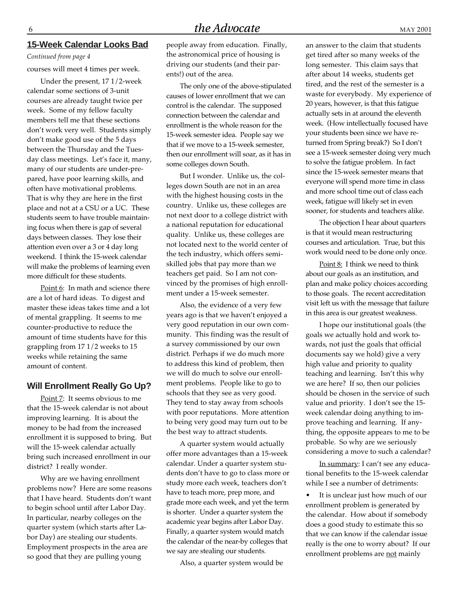#### **15-Week Calendar Looks Bad**

*Continued from page 4*

courses will meet 4 times per week.

Under the present, 17 1/2-week calendar some sections of 3-unit courses are already taught twice per week. Some of my fellow faculty members tell me that these sections don't work very well. Students simply don't make good use of the 5 days between the Thursday and the Tuesday class meetings. Let's face it, many, many of our students are under-prepared, have poor learning skills, and often have motivational problems. That is why they are here in the first place and not at a CSU or a UC. These students seem to have trouble maintaining focus when there is gap of several days between classes. They lose their attention even over a 3 or 4 day long weekend. I think the 15-week calendar will make the problems of learning even more difficult for these students.

Point 6: In math and science there are a lot of hard ideas. To digest and master these ideas takes time and a lot of mental grappling. It seems to me counter-productive to reduce the amount of time students have for this grappling from 17 1/2 weeks to 15 weeks while retaining the same amount of content.

#### **Will Enrollment Really Go Up?**

Point 7: It seems obvious to me that the 15-week calendar is not about improving learning. It is about the money to be had from the increased enrollment it is supposed to bring. But will the 15-week calendar actually bring such increased enrollment in our district? I really wonder.

Why are we having enrollment problems now? Here are some reasons that I have heard. Students don't want to begin school until after Labor Day. In particular, nearby colleges on the quarter system (which starts after Labor Day) are stealing our students. Employment prospects in the area are so good that they are pulling young

people away from education. Finally, the astronomical price of housing is driving our students (and their parents!) out of the area.

The only one of the above-stipulated causes of lower enrollment that we can control is the calendar. The supposed connection between the calendar and enrollment is the whole reason for the 15-week semester idea. People say we that if we move to a 15-week semester, then our enrollment will soar, as it has in some colleges down South.

But I wonder. Unlike us, the colleges down South are not in an area with the highest housing costs in the country. Unlike us, these colleges are not next door to a college district with a national reputation for educational quality. Unlike us, these colleges are not located next to the world center of the tech industry, which offers semiskilled jobs that pay more than we teachers get paid. So I am not convinced by the promises of high enrollment under a 15-week semester.

Also, the evidence of a very few years ago is that we haven't enjoyed a very good reputation in our own community. This finding was the result of a survey commissioned by our own district. Perhaps if we do much more to address this kind of problem, then we will do much to solve our enrollment problems. People like to go to schools that they see as very good. They tend to stay away from schools with poor reputations. More attention to being very good may turn out to be the best way to attract students.

A quarter system would actually offer more advantages than a 15-week calendar. Under a quarter system students don't have to go to class more or study more each week, teachers don't have to teach more, prep more, and grade more each week, and yet the term is shorter. Under a quarter system the academic year begins after Labor Day. Finally, a quarter system would match the calendar of the near-by colleges that we say are stealing our students.

Also, a quarter system would be

an answer to the claim that students get tired after so many weeks of the long semester. This claim says that after about 14 weeks, students get tired, and the rest of the semester is a waste for everybody. My experience of 20 years, however, is that this fatigue actually sets in at around the eleventh week. (How intellectually focused have your students been since we have returned from Spring break?) So I don't see a 15-week semester doing very much to solve the fatigue problem. In fact since the 15-week semester means that everyone will spend more time in class and more school time out of class each week, fatigue will likely set in even sooner, for students and teachers alike.

The objection I hear about quarters is that it would mean restructuring courses and articulation. True, but this work would need to be done only once.

Point 8: I think we need to think about our goals as an institution, and plan and make policy choices according to those goals. The recent accreditation visit left us with the message that failure in this area is our greatest weakness.

I hope our institutional goals (the goals we actually hold and work towards, not just the goals that official documents say we hold) give a very high value and priority to quality teaching and learning. Isn't this why we are here? If so, then our policies should be chosen in the service of such value and priority. I don't see the 15 week calendar doing anything to improve teaching and learning. If anything, the opposite appears to me to be probable. So why are we seriously considering a move to such a calendar?

In summary: I can't see any educational benefits to the 15-week calendar while I see a number of detriments:

• It is unclear just how much of our enrollment problem is generated by the calendar. How about if somebody does a good study to estimate this so that we can know if the calendar issue really is the one to worry about? If our enrollment problems are not mainly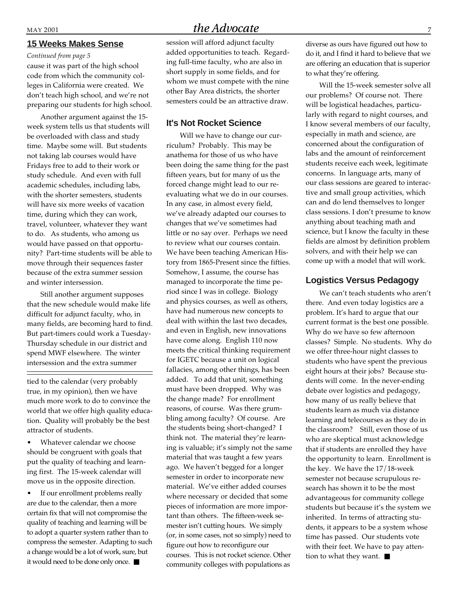#### **15 Weeks Makes Sense**

cause it was part of the high school code from which the community colleges in California were created. We don't teach high school, and we're not preparing our students for high school. *Continued from page 5*

Another argument against the 15 week system tells us that students will be overloaded with class and study time. Maybe some will. But students not taking lab courses would have Fridays free to add to their work or study schedule. And even with full academic schedules, including labs, with the shorter semesters, students will have six more weeks of vacation time, during which they can work, travel, volunteer, whatever they want to do. As students, who among us would have passed on that opportunity? Part-time students will be able to move through their sequences faster because of the extra summer session and winter intersession.

Still another argument supposes that the new schedule would make life difficult for adjunct faculty, who, in many fields, are becoming hard to find. But part-timers could work a Tuesday-Thursday schedule in our district and spend MWF elsewhere. The winter intersession and the extra summer

tied to the calendar (very probably true, in my opinion), then we have much more work to do to convince the world that we offer high quality education. Quality will probably be the best attractor of students.

Whatever calendar we choose should be congruent with goals that put the quality of teaching and learning first. The 15-week calendar will move us in the opposite direction.

• If our enrollment problems really are due to the calendar, then a more certain fix that will not compromise the quality of teaching and learning will be to adopt a quarter system rather than to compress the semester. Adapting to such a change would be a lot of work, sure, but it would need to be done only once. ■

# $MAY$  2001  $The Advocate$  7

session will afford adjunct faculty added opportunities to teach. Regarding full-time faculty, who are also in short supply in some fields, and for whom we must compete with the nine other Bay Area districts, the shorter semesters could be an attractive draw.

#### **It's Not Rocket Science**

Will we have to change our curriculum? Probably. This may be anathema for those of us who have been doing the same thing for the past fifteen years, but for many of us the forced change might lead to our reevaluating what we do in our courses. In any case, in almost every field, we've already adapted our courses to changes that we've sometimes had little or no say over. Perhaps we need to review what our courses contain. We have been teaching American History from 1865-Present since the fifties. Somehow, I assume, the course has managed to incorporate the time period since I was in college. Biology and physics courses, as well as others, have had numerous new concepts to deal with within the last two decades, and even in English, new innovations have come along. English 110 now meets the critical thinking requirement for IGETC because a unit on logical fallacies, among other things, has been added. To add that unit, something must have been dropped. Why was the change made? For enrollment reasons, of course. Was there grumbling among faculty? Of course. Are the students being short-changed? I think not. The material they're learning is valuable; it's simply not the same material that was taught a few years ago. We haven't begged for a longer semester in order to incorporate new material. We've either added courses where necessary or decided that some pieces of information are more important than others. The fifteen-week semester isn't cutting hours. We simply (or, in some cases, not so simply) need to figure out how to reconfigure our courses. This is not rocket science. Other community colleges with populations as

diverse as ours have figured out how to do it, and I find it hard to believe that we are offering an education that is superior to what they're offering.

Will the 15-week semester solve all our problems? Of course not. There will be logistical headaches, particularly with regard to night courses, and I know several members of our faculty, especially in math and science, are concerned about the configuration of labs and the amount of reinforcement students receive each week, legitimate concerns. In language arts, many of our class sessions are geared to interactive and small group activities, which can and do lend themselves to longer class sessions. I don't presume to know anything about teaching math and science, but I know the faculty in these fields are almost by definition problem solvers, and with their help we can come up with a model that will work.

#### **Logistics Versus Pedagogy**

We can't teach students who aren't there. And even today logistics are a problem. It's hard to argue that our current format is the best one possible. Why do we have so few afternoon classes? Simple. No students. Why do we offer three-hour night classes to students who have spent the previous eight hours at their jobs? Because students will come. In the never-ending debate over logistics and pedagogy, how many of us really believe that students learn as much via distance learning and telecourses as they do in the classroom? Still, even those of us who are skeptical must acknowledge that if students are enrolled they have the opportunity to learn. Enrollment is the key. We have the 17/18-week semester not because scrupulous research has shown it to be the most advantageous for community college students but because it's the system we inherited. In terms of attracting students, it appears to be a system whose time has passed. Our students vote with their feet. We have to pay attention to what they want. ■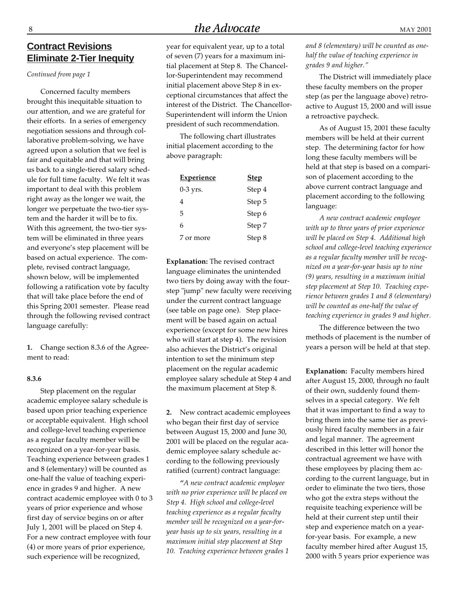# $8$  MAY 2001

**Contract Revisions Eliminate 2-Tier Inequity**

*Continued from page 1*

Concerned faculty members brought this inequitable situation to our attention, and we are grateful for their efforts. In a series of emergency negotiation sessions and through collaborative problem-solving, we have agreed upon a solution that we feel is fair and equitable and that will bring us back to a single-tiered salary schedule for full time faculty. We felt it was important to deal with this problem right away as the longer we wait, the longer we perpetuate the two-tier system and the harder it will be to fix. With this agreement, the two-tier system will be eliminated in three years and everyone's step placement will be based on actual experience. The complete, revised contract language, shown below, will be implemented following a ratification vote by faculty that will take place before the end of this Spring 2001 semester. Please read through the following revised contract language carefully:

**1.** Change section 8.3.6 of the Agreement to read:

#### **8.3.6**

Step placement on the regular academic employee salary schedule is based upon prior teaching experience or acceptable equivalent. High school and college-level teaching experience as a regular faculty member will be recognized on a year-for-year basis. Teaching experience between grades 1 and 8 (elementary) will be counted as one-half the value of teaching experience in grades 9 and higher. A new contract academic employee with 0 to 3 years of prior experience and whose first day of service begins on or after July 1, 2001 will be placed on Step 4. For a new contract employee with four (4) or more years of prior experience, such experience will be recognized,

year for equivalent year, up to a total of seven (7) years for a maximum initial placement at Step 8. The Chancellor-Superintendent may recommend initial placement above Step 8 in exceptional circumstances that affect the interest of the District. The Chancellor-Superintendent will inform the Union president of such recommendation.

The following chart illustrates initial placement according to the above paragraph:

| <b>Experience</b> | <b>Step</b> |
|-------------------|-------------|
| $0-3$ yrs.        | Step 4      |
| 4                 | Step 5      |
| 5                 | Step 6      |
| 6                 | Step 7      |
| 7 or more         | Step 8      |

**Explanation:** The revised contract language eliminates the unintended two tiers by doing away with the fourstep "jump" new faculty were receiving under the current contract language (see table on page one). Step placement will be based again on actual experience (except for some new hires who will start at step 4). The revision also achieves the District's original intention to set the minimum step placement on the regular academic employee salary schedule at Step 4 and the maximum placement at Step 8.

**2.** New contract academic employees who began their first day of service between August 15, 2000 and June 30, 2001 will be placed on the regular academic employee salary schedule according to the following previously ratified (current) contract language:

*"A new contract academic employee with no prior experience will be placed on Step 4. High school and college-level teaching experience as a regular faculty member will be recognized on a year-foryear basis up to six years, resulting in a maximum initial step placement at Step 10. Teaching experience between grades 1* *and 8 (elementary) will be counted as onehalf the value of teaching experience in grades 9 and higher."*

The District will immediately place these faculty members on the proper step (as per the language above) retroactive to August 15, 2000 and will issue a retroactive paycheck.

As of August 15, 2001 these faculty members will be held at their current step. The determining factor for how long these faculty members will be held at that step is based on a comparison of placement according to the above current contract language and placement according to the following language:

*A new contract academic employee with up to three years of prior experience will be placed on Step 4. Additional high school and college-level teaching experience as a regular faculty member will be recognized on a year-for-year basis up to nine (9) years, resulting in a maximum initial step placement at Step 10. Teaching experience between grades 1 and 8 (elementary) will be counted as one-half the value of teaching experience in grades 9 and higher.*

The difference between the two methods of placement is the number of years a person will be held at that step.

**Explanation:** Faculty members hired after August 15, 2000, through no fault of their own, suddenly found themselves in a special category. We felt that it was important to find a way to bring them into the same tier as previously hired faculty members in a fair and legal manner. The agreement described in this letter will honor the contractual agreement we have with these employees by placing them according to the current language, but in order to eliminate the two tiers, those who got the extra steps without the requisite teaching experience will be held at their current step until their step and experience match on a yearfor-year basis. For example, a new faculty member hired after August 15, 2000 with 5 years prior experience was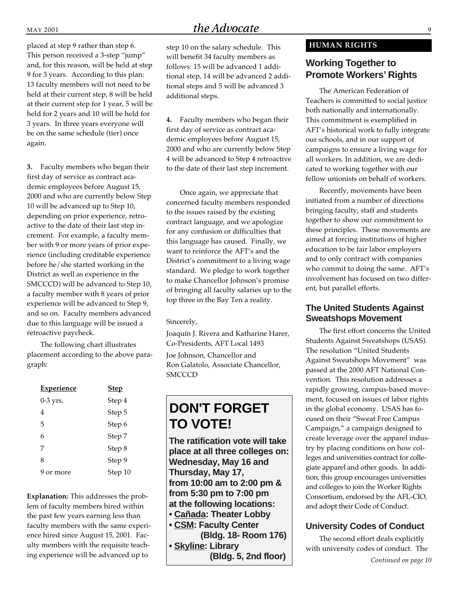placed at step 9 rather than step 6. This person received a 3-step "jump" and, for this reason, will be held at step 9 for 3 years. According to this plan: 13 faculty members will not need to be held at their current step, 8 will be held at their current step for 1 year, 5 will be held for 2 years and 10 will be held for 3 years.In three years everyone will be on the same schedule (tier) once again.

**3.** Faculty members who began their first day of service as contract academic employees before August 15, 2000 and who are currently below Step 10 will be advanced up to Step 10, depending on prior experience, retroactive to the date of their last step increment. For example, a faculty member with 9 or more years of prior experience (including creditable experience before he/she started working in the District as well as experience in the SMCCCD) will be advanced to Step 10, a faculty member with 8 years of prior experience will be advanced to Step 9, and so on. Faculty members advanced due to this language will be issued a retroactive paycheck.

The following chart illustrates placement according to the above paragraph:

| <b>Experience</b> | <b>Step</b> |
|-------------------|-------------|
| 0-3 yrs.          | Step 4      |
| 4                 | Step 5      |
| 5                 | Step 6      |
| 6                 | Step 7      |
| 7                 | Step 8      |
| 8                 | Step 9      |
| 9 or more         | Step 10     |

**Explanation:** This addresses the problem of faculty members hired within the past few years earning less than faculty members with the same experience hired since August 15, 2001. Faculty members with the requisite teaching experience will be advanced up to

# $MAY$  2001  $the Advocate$  9

step 10 on the salary schedule. This will benefit 34 faculty members as follows: 15 will be advanced 1 additional step, 14 will be advanced 2 additional steps and 5 will be advanced 3 additional steps.

**4.** Faculty members who began their first day of service as contract academic employees before August 15, 2000 and who are currently below Step 4 will be advanced to Step 4 retroactive to the date of their last step increment.

Once again, we appreciate that concerned faculty members responded to the issues raised by the existing contract language, and we apologize for any confusion or difficulties that this language has caused. Finally, we want to reinforce the AFT's and the District's commitment to a living wage standard. We pledge to work together to make Chancellor Johnson's promise of bringing all faculty salaries up to the top three in the Bay Ten a reality.

#### Sincerely,

Joaquín J. Rivera and Katharine Harer, Co-Presidents, AFT Local 1493

Joe Johnson, Chancellor and Ron Galatolo, Associate Chancellor, **SMCCCD** 

# **DON'T FORGET TO VOTE!**

**The ratification vote will take place at all three colleges on: Wednesday, May 16 and Thursday, May 17, from 10:00 am to 2:00 pm & from 5:30 pm to 7:00 pm at the following locations: • Cañada: Theater Lobby • CSM: Faculty Center (Bldg. 18- Room 176)**

**• Skyline: Library (Bldg. 5, 2nd floor)**

#### **HUMAN RIGHTS**

# **Working Together to Promote Workers' Rights**

The American Federation of Teachers is committed to social justice both nationally and internationally. This commitment is exemplified in AFT's historical work to fully integrate our schools, and in our support of campaigns to ensure a living wage for all workers. In addition, we are dedicated to working together with our fellow unionists on behalf of workers.

Recently, movements have been initiated from a number of directions bringing faculty, staff and students together to show our commitment to these principles. These movements are aimed at forcing institutions of higher education to be fair labor employers and to only contract with companies who commit to doing the same. AFT's involvement has focused on two different, but parallel efforts.

### **The United Students Against Sweatshops Movement**

The first effort concerns the United Students Against Sweatshops (USAS). The resolution "United Students Against Sweatshops Movement" was passed at the 2000 AFT National Convention. This resolution addresses a rapidly growing, campus-based movement, focused on issues of labor rights in the global economy. USAS has focused on their "Sweat Free Campus Campaign," a campaign designed to create leverage over the apparel industry by placing conditions on how colleges and universities contract for collegiate apparel and other goods. In addition, this group encourages universities and colleges to join the Worker Rights Consortium, endorsed by the AFL-CIO, and adopt their Code of Conduct.

## **University Codes of Conduct**

The second effort deals explicitly with university codes of conduct. The